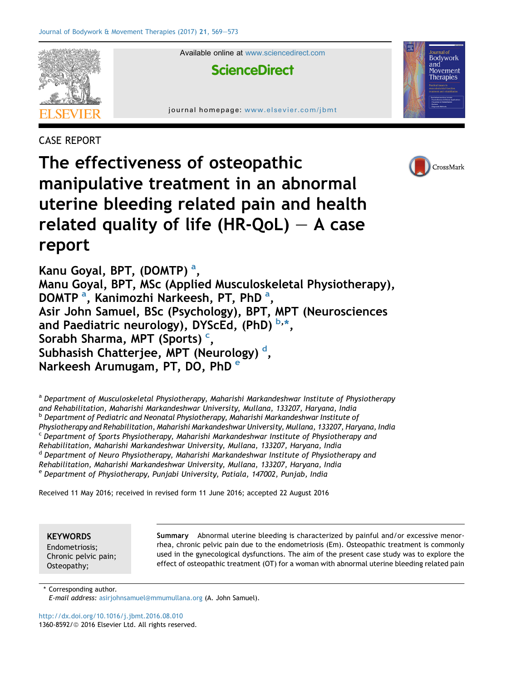

Available online at [www.sciencedirect.com](www.sciencedirect.com/science/journal/13608592)

## **ScienceDirect**

journal homepage: [www.elsevier.com/jbmt](http://www.elsevier.com/jbmt)

CASE REPORT



Bodywork and Movement Therapies

The effectiveness of osteopathic manipulative treatment in an abnormal uterine bleeding related pain and health related quality of life (HR-QoL)  $-$  A case report

Kanu Goyal, BPT, (DOMTP)<sup>a</sup>, Manu Goyal, BPT, MSc (Applied Musculoskeletal Physiotherapy), DOMTP<sup>a</sup>, Kanimozhi Narkeesh, PT, PhD<sup>a</sup>, Asir John Samuel, BSc (Psychology), BPT, MPT (Neurosciences and Paediatric neurology), DYScEd, (PhD)  $^{\mathsf{b},\ast},$ Sorabh Sharma, MPT (Sports)<sup>c</sup>, Subhasish Chatterjee, MPT (Neurology) <sup>d</sup>, Narkeesh Arumugam, PT, DO, PhD<sup>e</sup>

a Department of Musculoskeletal Physiotherapy, Maharishi Markandeshwar Institute of Physiotherapy and Rehabilitation, Maharishi Markandeshwar University, Mullana, 133207, Haryana, India <sup>b</sup> Department of Pediatric and Neonatal Physiotherapy, Maharishi Markandeshwar Institute of Physiotherapy and Rehabilitation, Maharishi Markandeshwar University, Mullana, 133207, Haryana, India <sup>c</sup> Department of Sports Physiotherapy, Maharishi Markandeshwar Institute of Physiotherapy and Rehabilitation, Maharishi Markandeshwar University, Mullana, 133207, Haryana, India <sup>d</sup> Department of Neuro Physiotherapy, Maharishi Markandeshwar Institute of Physiotherapy and Rehabilitation, Maharishi Markandeshwar University, Mullana, 133207, Haryana, India e Department of Physiotherapy, Punjabi University, Patiala, 147002, Punjab, India

Received 11 May 2016; received in revised form 11 June 2016; accepted 22 August 2016

**KEYWORDS** 

Endometriosis; Chronic pelvic pain; Osteopathy;

Summary Abnormal uterine bleeding is characterized by painful and/or excessive menorrhea, chronic pelvic pain due to the endometriosis (Em). Osteopathic treatment is commonly used in the gynecological dysfunctions. The aim of the present case study was to explore the effect of osteopathic treatment (OT) for a woman with abnormal uterine bleeding related pain

\* Corresponding author. E-mail address: [asirjohnsamuel@mmumullana.org](mailto:asirjohnsamuel@mmumullana.org) (A. John Samuel).

<http://dx.doi.org/10.1016/j.jbmt.2016.08.010> 1360-8592/© 2016 Elsevier Ltd. All rights reserved.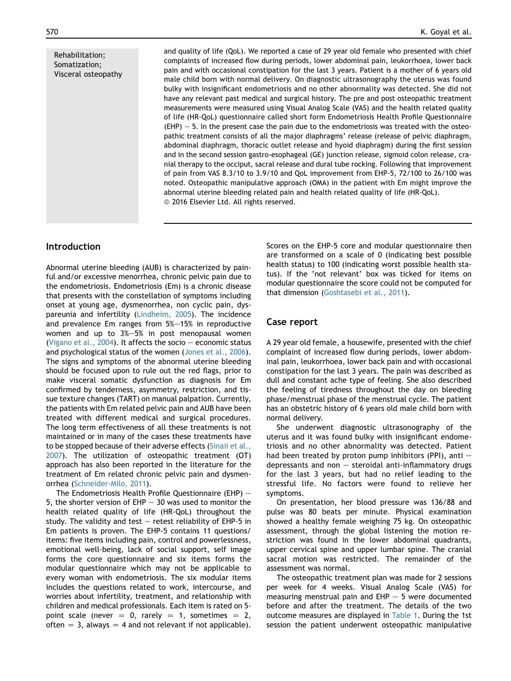Rehabilitation; Somatization; Visceral osteopathy and quality of life (QoL). We reported a case of 29 year old female who presented with chief complaints of increased flow during periods, lower abdominal pain, leukorrhoea, lower back pain and with occasional constipation for the last 3 years. Patient is a mother of 6 years old male child born with normal delivery. On diagnostic ultrasonography the uterus was found bulky with insignificant endometriosis and no other abnormality was detected. She did not have any relevant past medical and surgical history. The pre and post osteopathic treatment measurements were measured using Visual Analog Scale (VAS) and the health related quality of life (HR-QoL) questionnaire called short form Endometriosis Health Profile Questionnaire  $(EHP) - 5$ . In the present case the pain due to the endometriosis was treated with the osteopathic treatment consists of all the major diaphragms' release (release of pelvic diaphragm, abdominal diaphragm, thoracic outlet release and hyoid diaphragm) during the first session and in the second session gastro-esophageal (GE) junction release, sigmoid colon release, cranial therapy to the occiput, sacral release and dural tube rocking. Following that improvement of pain from VAS 8.3/10 to 3.9/10 and QoL improvement from EHP-5, 72/100 to 26/100 was noted. Osteopathic manipulative approach (OMA) in the patient with Em might improve the

## Introduction

Abnormal uterine bleeding (AUB) is characterized by painful and/or excessive menorrhea, chronic pelvic pain due to the endometriosis. Endometriosis (Em) is a chronic disease that presents with the constellation of symptoms including onset at young age, dysmenorrhea, non cyclic pain, dyspareunia and infertility ([Lindheim, 2005](#page--1-0)). The incidence and prevalence Em ranges from  $5\% - 15\%$  in reproductive women and up to  $3\%-5\%$  in post menopausal women [\(Vigano et al., 2004](#page--1-0)). It affects the socio  $-$  economic status and psychological status of the women [\(Jones et al., 2006](#page--1-0)). The signs and symptoms of the abnormal uterine bleeding should be focused upon to rule out the red flags, prior to make visceral somatic dysfunction as diagnosis for Em confirmed by tenderness, asymmetry, restriction, and tissue texture changes (TART) on manual palpation. Currently, the patients with Em related pelvic pain and AUB have been treated with different medical and surgical procedures. The long term effectiveness of all these treatments is not maintained or in many of the cases these treatments have to be stopped because of their adverse effects ([Sinaii et al.,](#page--1-0) [2007](#page--1-0)). The utilization of osteopathic treatment (OT) approach has also been reported in the literature for the treatment of Em related chronic pelvic pain and dysmenorrhea [\(Schneider-Milo, 2011\)](#page--1-0).

The Endometriosis Health Profile Questionnaire (EHP)  $-$ 5, the shorter version of EHP  $-$  30 was used to monitor the health related quality of life (HR-QoL) throughout the study. The validity and test  $-$  retest reliability of EHP-5 in Em patients is proven. The EHP-5 contains 11 questions/ items: five items including pain, control and powerlessness, emotional well-being, lack of social support, self image forms the core questionnaire and six items forms the modular questionnaire which may not be applicable to every woman with endometriosis. The six modular items includes the questions related to work, intercourse, and worries about infertility, treatment, and relationship with children and medical professionals. Each item is rated on 5 point scale (never  $= 0$ , rarely  $= 1$ , sometimes  $= 2$ , often  $= 3$ , always  $= 4$  and not relevant if not applicable). Scores on the EHP-5 core and modular questionnaire then are transformed on a scale of 0 (indicating best possible health status) to 100 (indicating worst possible health status). If the 'not relevant' box was ticked for items on modular questionnaire the score could not be computed for that dimension ([Goshtasebi et al., 2011\)](#page--1-0).

## Case report

abnormal uterine bleeding related pain and health related quality of life (HR-QoL).

<sup>©</sup> 2016 Elsevier Ltd. All rights reserved.

A 29 year old female, a housewife, presented with the chief complaint of increased flow during periods, lower abdominal pain, leukorrhoea, lower back pain and with occasional constipation for the last 3 years. The pain was described as dull and constant ache type of feeling. She also described the feeling of tiredness throughout the day on bleeding phase/menstrual phase of the menstrual cycle. The patient has an obstetric history of 6 years old male child born with normal delivery.

She underwent diagnostic ultrasonography of the uterus and it was found bulky with insignificant endometriosis and no other abnormality was detected. Patient had been treated by proton pump inhibitors (PPI), anti  $$ depressants and non  $-$  steroidal anti-inflammatory drugs for the last 3 years, but had no relief leading to the stressful life. No factors were found to relieve her symptoms.

On presentation, her blood pressure was 136/88 and pulse was 80 beats per minute. Physical examination showed a healthy female weighing 75 kg. On osteopathic assessment, through the global listening the motion restriction was found in the lower abdominal quadrants, upper cervical spine and upper lumbar spine. The cranial sacral motion was restricted. The remainder of the assessment was normal.

The osteopathic treatment plan was made for 2 sessions per week for 4 weeks. Visual Analog Scale (VAS) for measuring menstrual pain and  $EHP - 5$  were documented before and after the treatment. The details of the two outcome measures are displayed in [Table 1.](#page--1-0) During the 1st session the patient underwent osteopathic manipulative